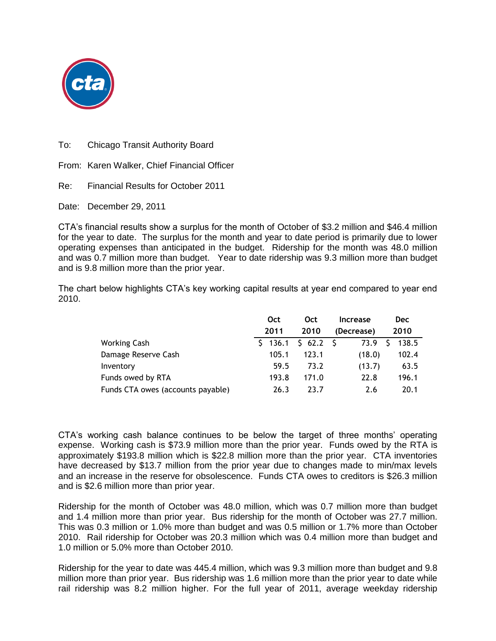

To: Chicago Transit Authority Board

From: Karen Walker, Chief Financial Officer

Re: Financial Results for October 2011

Date: December 29, 2011

CTA's financial results show a surplus for the month of October of \$3.2 million and \$46.4 million for the year to date. The surplus for the month and year to date period is primarily due to lower operating expenses than anticipated in the budget. Ridership for the month was 48.0 million and was 0.7 million more than budget. Year to date ridership was 9.3 million more than budget and is 9.8 million more than the prior year.

The chart below highlights CTA's key working capital results at year end compared to year end 2010.

|                                   | Oct         | Oct      | <b>Increase</b> | <b>Dec</b> |
|-----------------------------------|-------------|----------|-----------------|------------|
|                                   | 2011        | 2010     | (Decrease)      | 2010       |
| <b>Working Cash</b>               | $5 \t136.1$ | \$62.2\$ | 73.9            | 138.5      |
| Damage Reserve Cash               | 105.1       | 123.1    | (18.0)          | 102.4      |
| Inventory                         | 59.5        | 73.2     | (13.7)          | 63.5       |
| Funds owed by RTA                 | 193.8       | 171.0    | 22.8            | 196.1      |
| Funds CTA owes (accounts payable) | 26.3        | 23.7     | 2.6             | 20.1       |

CTA's working cash balance continues to be below the target of three months' operating expense. Working cash is \$73.9 million more than the prior year. Funds owed by the RTA is approximately \$193.8 million which is \$22.8 million more than the prior year. CTA inventories have decreased by \$13.7 million from the prior year due to changes made to min/max levels and an increase in the reserve for obsolescence. Funds CTA owes to creditors is \$26.3 million and is \$2.6 million more than prior year.

Ridership for the month of October was 48.0 million, which was 0.7 million more than budget and 1.4 million more than prior year. Bus ridership for the month of October was 27.7 million. This was 0.3 million or 1.0% more than budget and was 0.5 million or 1.7% more than October 2010. Rail ridership for October was 20.3 million which was 0.4 million more than budget and 1.0 million or 5.0% more than October 2010.

Ridership for the year to date was 445.4 million, which was 9.3 million more than budget and 9.8 million more than prior year. Bus ridership was 1.6 million more than the prior year to date while rail ridership was 8.2 million higher. For the full year of 2011, average weekday ridership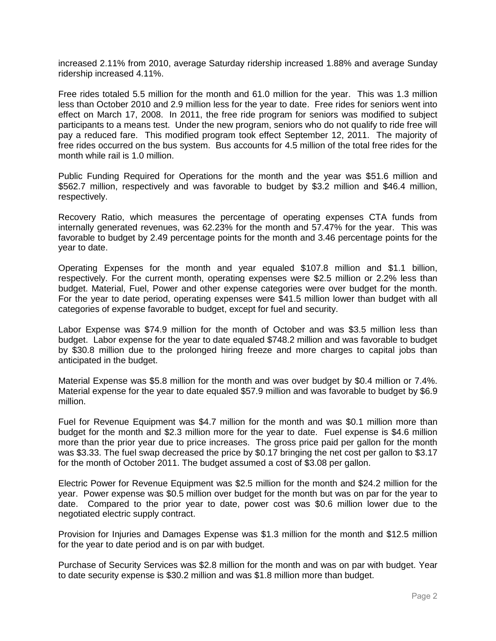increased 2.11% from 2010, average Saturday ridership increased 1.88% and average Sunday ridership increased 4.11%.

Free rides totaled 5.5 million for the month and 61.0 million for the year. This was 1.3 million less than October 2010 and 2.9 million less for the year to date. Free rides for seniors went into effect on March 17, 2008. In 2011, the free ride program for seniors was modified to subject participants to a means test. Under the new program, seniors who do not qualify to ride free will pay a reduced fare. This modified program took effect September 12, 2011. The majority of free rides occurred on the bus system. Bus accounts for 4.5 million of the total free rides for the month while rail is 1.0 million.

Public Funding Required for Operations for the month and the year was \$51.6 million and \$562.7 million, respectively and was favorable to budget by \$3.2 million and \$46.4 million, respectively.

Recovery Ratio, which measures the percentage of operating expenses CTA funds from internally generated revenues, was 62.23% for the month and 57.47% for the year. This was favorable to budget by 2.49 percentage points for the month and 3.46 percentage points for the year to date.

Operating Expenses for the month and year equaled \$107.8 million and \$1.1 billion, respectively. For the current month, operating expenses were \$2.5 million or 2.2% less than budget. Material, Fuel, Power and other expense categories were over budget for the month. For the year to date period, operating expenses were \$41.5 million lower than budget with all categories of expense favorable to budget, except for fuel and security.

Labor Expense was \$74.9 million for the month of October and was \$3.5 million less than budget. Labor expense for the year to date equaled \$748.2 million and was favorable to budget by \$30.8 million due to the prolonged hiring freeze and more charges to capital jobs than anticipated in the budget.

Material Expense was \$5.8 million for the month and was over budget by \$0.4 million or 7.4%. Material expense for the year to date equaled \$57.9 million and was favorable to budget by \$6.9 million.

Fuel for Revenue Equipment was \$4.7 million for the month and was \$0.1 million more than budget for the month and \$2.3 million more for the year to date. Fuel expense is \$4.6 million more than the prior year due to price increases. The gross price paid per gallon for the month was \$3.33. The fuel swap decreased the price by \$0.17 bringing the net cost per gallon to \$3.17 for the month of October 2011. The budget assumed a cost of \$3.08 per gallon.

Electric Power for Revenue Equipment was \$2.5 million for the month and \$24.2 million for the year. Power expense was \$0.5 million over budget for the month but was on par for the year to date. Compared to the prior year to date, power cost was \$0.6 million lower due to the negotiated electric supply contract.

Provision for Injuries and Damages Expense was \$1.3 million for the month and \$12.5 million for the year to date period and is on par with budget.

Purchase of Security Services was \$2.8 million for the month and was on par with budget. Year to date security expense is \$30.2 million and was \$1.8 million more than budget.